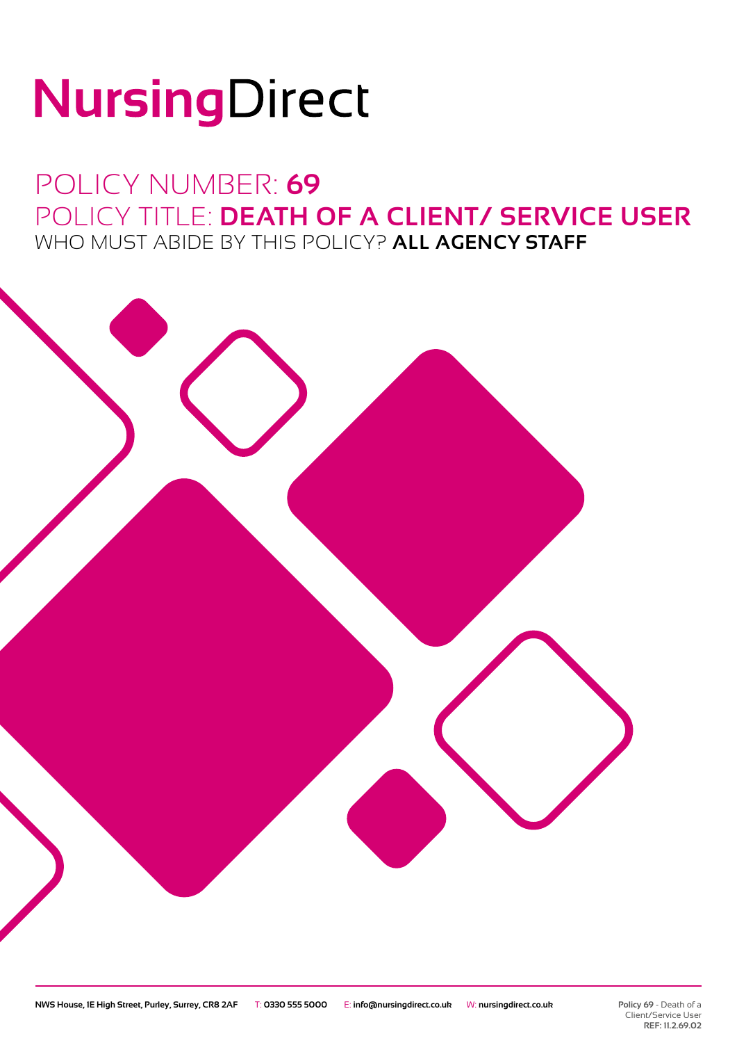# NursingDirect

### POLICY NUMBER: **69** POLICY TITLE: **DEATH OF A CLIENT/ SERVICE USER** WHO MUST ABIDE BY THIS POLICY? **ALL AGENCY STAFF**